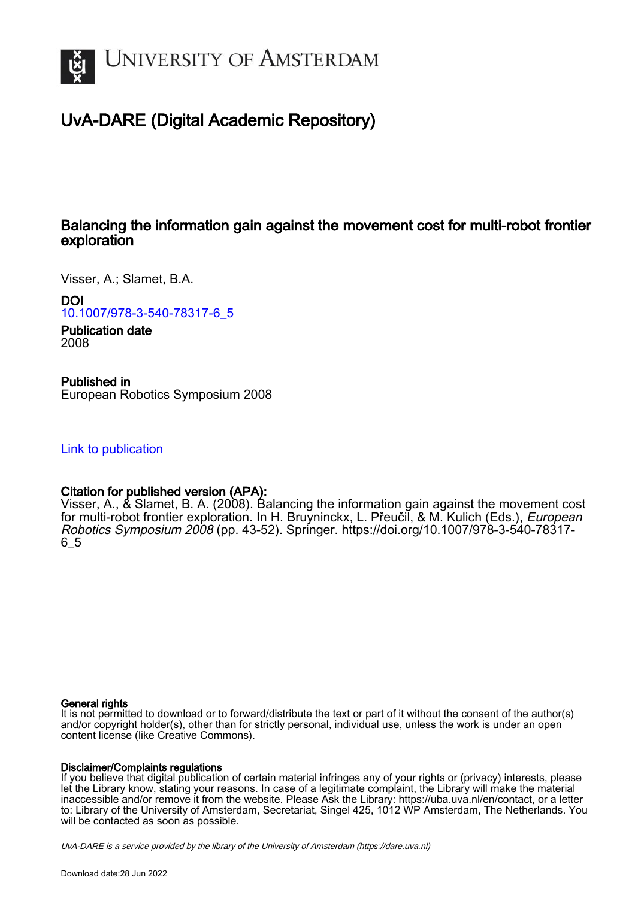

# UvA-DARE (Digital Academic Repository)

## Balancing the information gain against the movement cost for multi-robot frontier exploration

Visser, A.; Slamet, B.A.

DOI

[10.1007/978-3-540-78317-6\\_5](https://doi.org/10.1007/978-3-540-78317-6_5)

Publication date 2008

### Published in

European Robotics Symposium 2008

[Link to publication](https://dare.uva.nl/personal/pure/en/publications/balancing-the-information-gain-against-the-movement-cost-for-multirobot-frontier-exploration(49a582e2-6b24-476c-b9f0-56acffd7b113).html)

### Citation for published version (APA):

Visser, A., & Slamet, B. A. (2008). Balancing the information gain against the movement cost for multi-robot frontier exploration. In H. Bruyninckx, L. Přeučil, & M. Kulich (Eds.), European Robotics Symposium 2008 (pp. 43-52). Springer. [https://doi.org/10.1007/978-3-540-78317-](https://doi.org/10.1007/978-3-540-78317-6_5) [6\\_5](https://doi.org/10.1007/978-3-540-78317-6_5)

#### General rights

It is not permitted to download or to forward/distribute the text or part of it without the consent of the author(s) and/or copyright holder(s), other than for strictly personal, individual use, unless the work is under an open content license (like Creative Commons).

#### Disclaimer/Complaints regulations

If you believe that digital publication of certain material infringes any of your rights or (privacy) interests, please let the Library know, stating your reasons. In case of a legitimate complaint, the Library will make the material inaccessible and/or remove it from the website. Please Ask the Library: https://uba.uva.nl/en/contact, or a letter to: Library of the University of Amsterdam, Secretariat, Singel 425, 1012 WP Amsterdam, The Netherlands. You will be contacted as soon as possible.

UvA-DARE is a service provided by the library of the University of Amsterdam (http*s*://dare.uva.nl)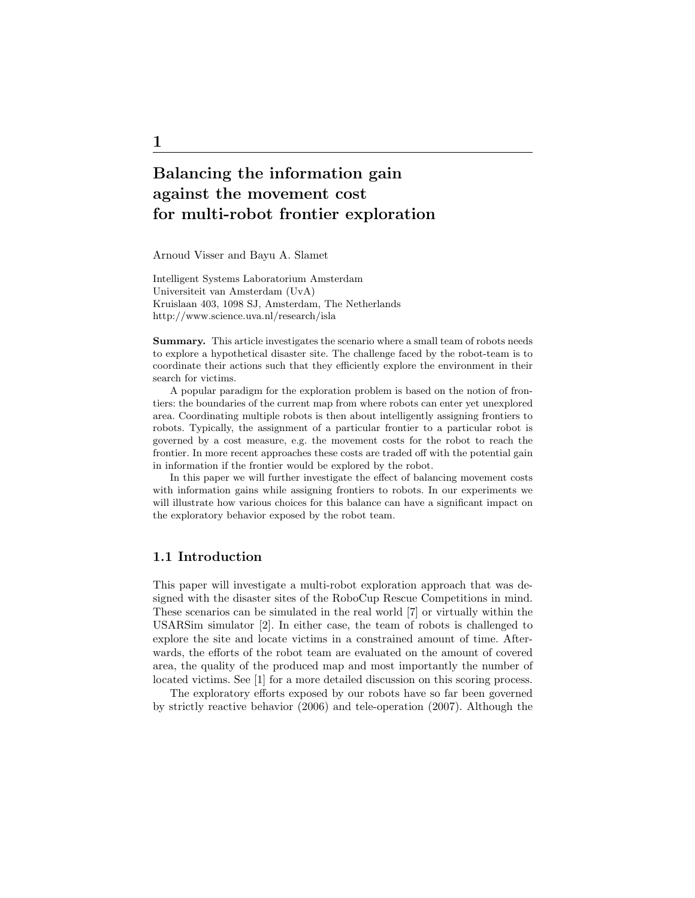# Balancing the information gain against the movement cost for multi-robot frontier exploration

Arnoud Visser and Bayu A. Slamet

Intelligent Systems Laboratorium Amsterdam Universiteit van Amsterdam (UvA) Kruislaan 403, 1098 SJ, Amsterdam, The Netherlands http://www.science.uva.nl/research/isla

Summary. This article investigates the scenario where a small team of robots needs to explore a hypothetical disaster site. The challenge faced by the robot-team is to coordinate their actions such that they efficiently explore the environment in their search for victims.

A popular paradigm for the exploration problem is based on the notion of frontiers: the boundaries of the current map from where robots can enter yet unexplored area. Coordinating multiple robots is then about intelligently assigning frontiers to robots. Typically, the assignment of a particular frontier to a particular robot is governed by a cost measure, e.g. the movement costs for the robot to reach the frontier. In more recent approaches these costs are traded off with the potential gain in information if the frontier would be explored by the robot.

In this paper we will further investigate the effect of balancing movement costs with information gains while assigning frontiers to robots. In our experiments we will illustrate how various choices for this balance can have a significant impact on the exploratory behavior exposed by the robot team.

#### 1.1 Introduction

This paper will investigate a multi-robot exploration approach that was designed with the disaster sites of the RoboCup Rescue Competitions in mind. These scenarios can be simulated in the real world [7] or virtually within the USARSim simulator [2]. In either case, the team of robots is challenged to explore the site and locate victims in a constrained amount of time. Afterwards, the efforts of the robot team are evaluated on the amount of covered area, the quality of the produced map and most importantly the number of located victims. See [1] for a more detailed discussion on this scoring process.

The exploratory efforts exposed by our robots have so far been governed by strictly reactive behavior (2006) and tele-operation (2007). Although the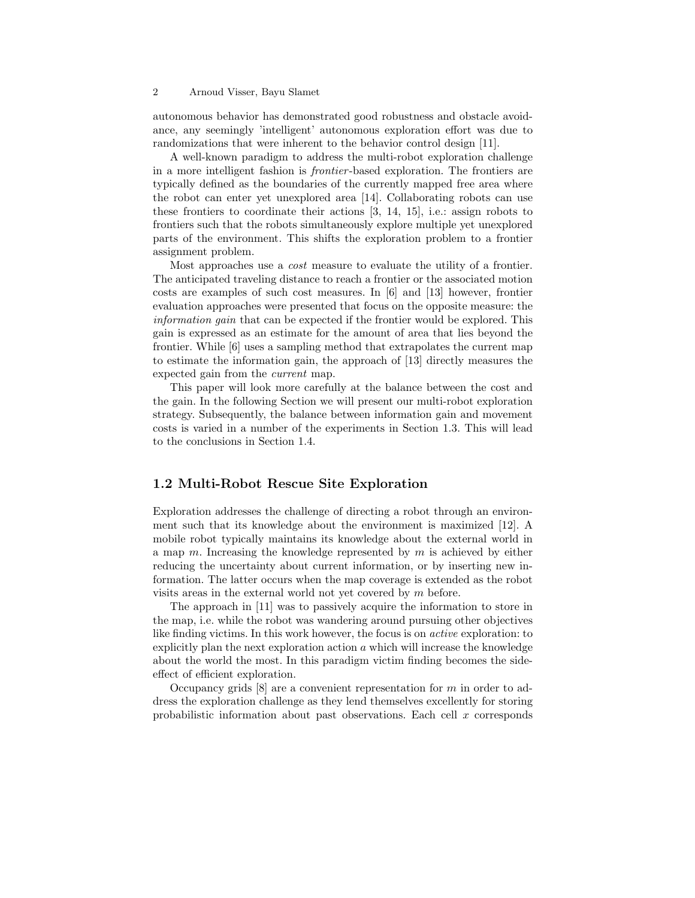#### 2 Arnoud Visser, Bayu Slamet

autonomous behavior has demonstrated good robustness and obstacle avoidance, any seemingly 'intelligent' autonomous exploration effort was due to randomizations that were inherent to the behavior control design [11].

A well-known paradigm to address the multi-robot exploration challenge in a more intelligent fashion is frontier -based exploration. The frontiers are typically defined as the boundaries of the currently mapped free area where the robot can enter yet unexplored area [14]. Collaborating robots can use these frontiers to coordinate their actions [3, 14, 15], i.e.: assign robots to frontiers such that the robots simultaneously explore multiple yet unexplored parts of the environment. This shifts the exploration problem to a frontier assignment problem.

Most approaches use a cost measure to evaluate the utility of a frontier. The anticipated traveling distance to reach a frontier or the associated motion costs are examples of such cost measures. In [6] and [13] however, frontier evaluation approaches were presented that focus on the opposite measure: the information gain that can be expected if the frontier would be explored. This gain is expressed as an estimate for the amount of area that lies beyond the frontier. While [6] uses a sampling method that extrapolates the current map to estimate the information gain, the approach of [13] directly measures the expected gain from the current map.

This paper will look more carefully at the balance between the cost and the gain. In the following Section we will present our multi-robot exploration strategy. Subsequently, the balance between information gain and movement costs is varied in a number of the experiments in Section 1.3. This will lead to the conclusions in Section 1.4.

#### 1.2 Multi-Robot Rescue Site Exploration

Exploration addresses the challenge of directing a robot through an environment such that its knowledge about the environment is maximized [12]. A mobile robot typically maintains its knowledge about the external world in a map  $m$ . Increasing the knowledge represented by  $m$  is achieved by either reducing the uncertainty about current information, or by inserting new information. The latter occurs when the map coverage is extended as the robot visits areas in the external world not yet covered by  $m$  before.

The approach in [11] was to passively acquire the information to store in the map, i.e. while the robot was wandering around pursuing other objectives like finding victims. In this work however, the focus is on active exploration: to explicitly plan the next exploration action  $a$  which will increase the knowledge about the world the most. In this paradigm victim finding becomes the sideeffect of efficient exploration.

Occupancy grids [8] are a convenient representation for m in order to address the exploration challenge as they lend themselves excellently for storing probabilistic information about past observations. Each cell x corresponds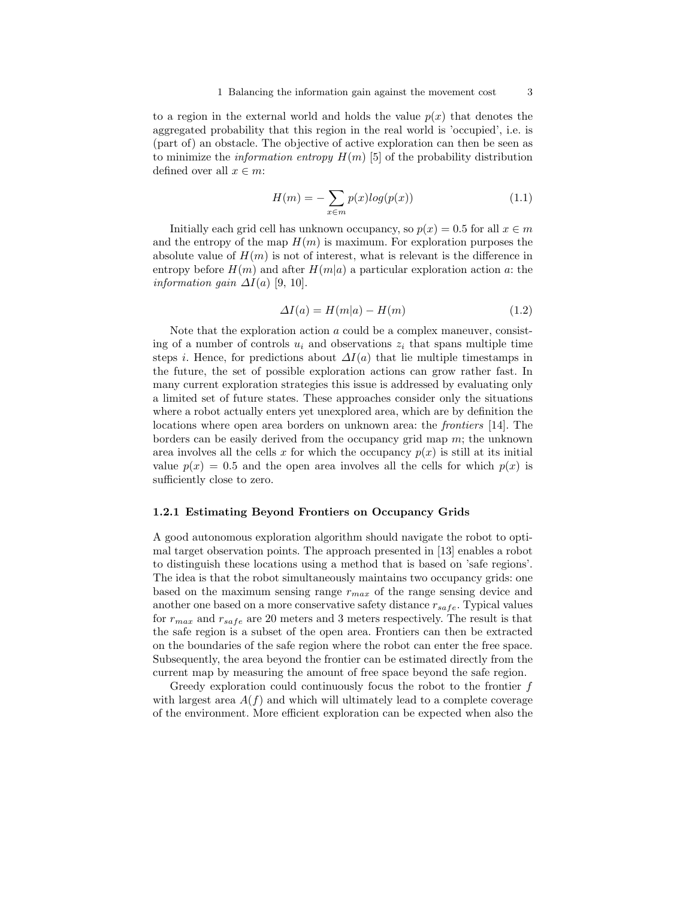to a region in the external world and holds the value  $p(x)$  that denotes the aggregated probability that this region in the real world is 'occupied', i.e. is (part of) an obstacle. The objective of active exploration can then be seen as to minimize the *information entropy*  $H(m)$  [5] of the probability distribution defined over all  $x \in m$ :

$$
H(m) = -\sum_{x \in m} p(x) \log(p(x)) \tag{1.1}
$$

Initially each grid cell has unknown occupancy, so  $p(x) = 0.5$  for all  $x \in m$ and the entropy of the map  $H(m)$  is maximum. For exploration purposes the absolute value of  $H(m)$  is not of interest, what is relevant is the difference in entropy before  $H(m)$  and after  $H(m|a)$  a particular exploration action a: the information gain  $\Delta I(a)$  [9, 10].

$$
\Delta I(a) = H(m|a) - H(m) \tag{1.2}
$$

Note that the exploration action a could be a complex maneuver, consisting of a number of controls  $u_i$  and observations  $z_i$  that spans multiple time steps i. Hence, for predictions about  $\Delta I(a)$  that lie multiple timestamps in the future, the set of possible exploration actions can grow rather fast. In many current exploration strategies this issue is addressed by evaluating only a limited set of future states. These approaches consider only the situations where a robot actually enters yet unexplored area, which are by definition the locations where open area borders on unknown area: the frontiers [14]. The borders can be easily derived from the occupancy grid map  $m$ ; the unknown area involves all the cells x for which the occupancy  $p(x)$  is still at its initial value  $p(x) = 0.5$  and the open area involves all the cells for which  $p(x)$  is sufficiently close to zero.

#### 1.2.1 Estimating Beyond Frontiers on Occupancy Grids

A good autonomous exploration algorithm should navigate the robot to optimal target observation points. The approach presented in [13] enables a robot to distinguish these locations using a method that is based on 'safe regions'. The idea is that the robot simultaneously maintains two occupancy grids: one based on the maximum sensing range  $r_{max}$  of the range sensing device and another one based on a more conservative safety distance  $r_{safe}$ . Typical values for  $r_{max}$  and  $r_{safe}$  are 20 meters and 3 meters respectively. The result is that the safe region is a subset of the open area. Frontiers can then be extracted on the boundaries of the safe region where the robot can enter the free space. Subsequently, the area beyond the frontier can be estimated directly from the current map by measuring the amount of free space beyond the safe region.

Greedy exploration could continuously focus the robot to the frontier  $f$ with largest area  $A(f)$  and which will ultimately lead to a complete coverage of the environment. More efficient exploration can be expected when also the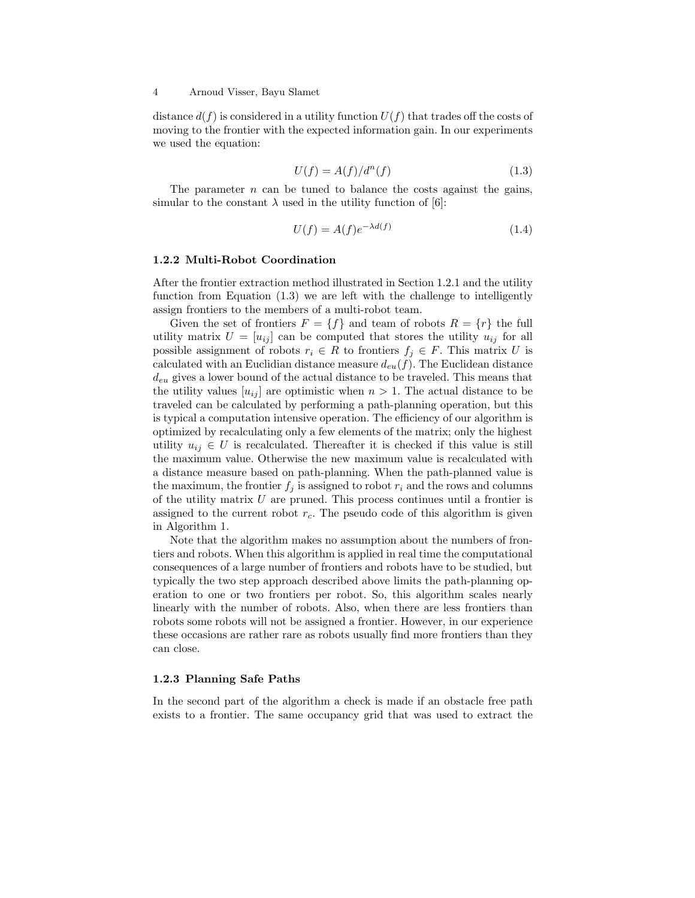distance  $d(f)$  is considered in a utility function  $U(f)$  that trades off the costs of moving to the frontier with the expected information gain. In our experiments we used the equation:

$$
U(f) = A(f)/d^n(f)
$$
\n(1.3)

The parameter  $n$  can be tuned to balance the costs against the gains, simular to the constant  $\lambda$  used in the utility function of [6]:

$$
U(f) = A(f)e^{-\lambda d(f)}\tag{1.4}
$$

#### 1.2.2 Multi-Robot Coordination

After the frontier extraction method illustrated in Section 1.2.1 and the utility function from Equation (1.3) we are left with the challenge to intelligently assign frontiers to the members of a multi-robot team.

Given the set of frontiers  $F = \{f\}$  and team of robots  $R = \{r\}$  the full utility matrix  $U = [u_{ij}]$  can be computed that stores the utility  $u_{ij}$  for all possible assignment of robots  $r_i \in R$  to frontiers  $f_i \in F$ . This matrix U is calculated with an Euclidian distance measure  $d_{eu}(f)$ . The Euclidean distance  $d_{eu}$  gives a lower bound of the actual distance to be traveled. This means that the utility values  $[u_{ij}]$  are optimistic when  $n > 1$ . The actual distance to be traveled can be calculated by performing a path-planning operation, but this is typical a computation intensive operation. The efficiency of our algorithm is optimized by recalculating only a few elements of the matrix; only the highest utility  $u_{ij} \in U$  is recalculated. Thereafter it is checked if this value is still the maximum value. Otherwise the new maximum value is recalculated with a distance measure based on path-planning. When the path-planned value is the maximum, the frontier  $f_j$  is assigned to robot  $r_i$  and the rows and columns of the utility matrix  $U$  are pruned. This process continues until a frontier is assigned to the current robot  $r_c$ . The pseudo code of this algorithm is given in Algorithm 1.

Note that the algorithm makes no assumption about the numbers of frontiers and robots. When this algorithm is applied in real time the computational consequences of a large number of frontiers and robots have to be studied, but typically the two step approach described above limits the path-planning operation to one or two frontiers per robot. So, this algorithm scales nearly linearly with the number of robots. Also, when there are less frontiers than robots some robots will not be assigned a frontier. However, in our experience these occasions are rather rare as robots usually find more frontiers than they can close.

#### 1.2.3 Planning Safe Paths

In the second part of the algorithm a check is made if an obstacle free path exists to a frontier. The same occupancy grid that was used to extract the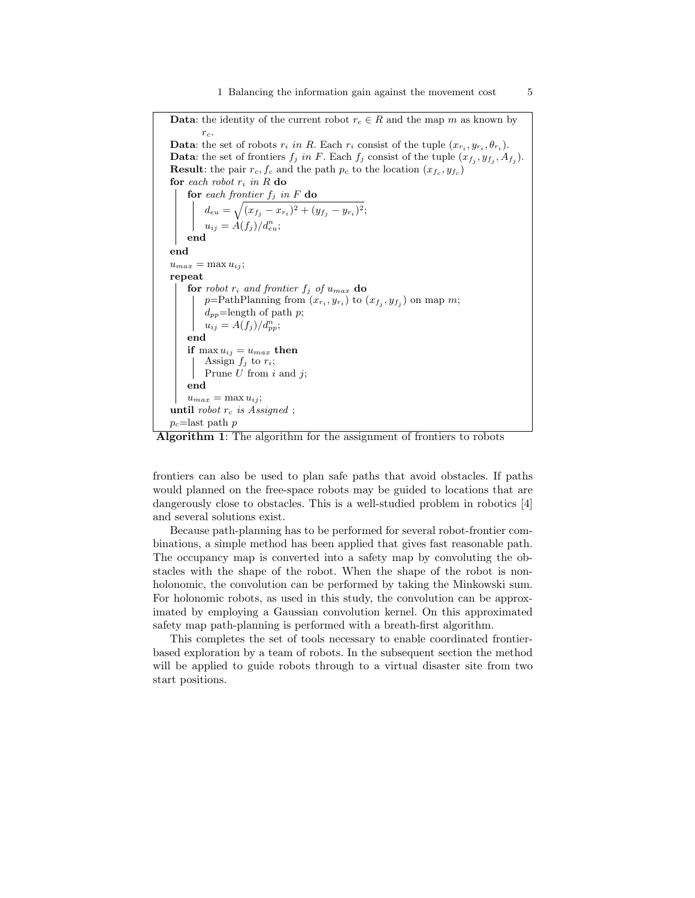**Data:** the identity of the current robot  $r_c \in R$  and the map m as known by  $r_c.$ **Data**: the set of robots  $r_i$  in R. Each  $r_i$  consist of the tuple  $(x_{r_i}, y_{r_i}, \theta_{r_i})$ . **Data**: the set of frontiers  $f_j$  in F. Each  $f_j$  consist of the tuple  $(x_{f_j}, y_{f_j}, A_{f_j})$ . **Result:** the pair  $r_c, f_c$  and the path  $p_c$  to the location  $(x_{f_c}, y_{f_c})$ for each robot  $r_i$  in R do for each frontier  $f_j$  in F do  $d_{eu} = \sqrt{(x_{f_j} - x_{r_i})^2 + (y_{f_j} - y_{r_i})^2};$  $u_{ij} = \dot{A}(f_j)/d_{eu}^n;$ end end  $u_{max} = \max u_{ij};$ repeat for robot  $r_i$  and frontier  $f_j$  of  $u_{max}$  do  $p = \text{PathPlanning from } (x_{r_i}, y_{r_i})$  to  $(x_{f_j}, y_{f_j})$  on map m;  $d_{pp}$ =length of path p;  $u_{ij} = A(f_j)/d_{pp}^n;$ end if  $\max u_{ij} = u_{max}$  then Assign  $f_j$  to  $r_i$ ; Prune  $U$  from  $i$  and  $j$ ; end  $u_{max} = \max u_{ij};$ until robot  $r_c$  is Assigned;  $p_c$ =last path  $p$ 

Algorithm 1: The algorithm for the assignment of frontiers to robots

frontiers can also be used to plan safe paths that avoid obstacles. If paths would planned on the free-space robots may be guided to locations that are dangerously close to obstacles. This is a well-studied problem in robotics [4] and several solutions exist.

Because path-planning has to be performed for several robot-frontier combinations, a simple method has been applied that gives fast reasonable path. The occupancy map is converted into a safety map by convoluting the obstacles with the shape of the robot. When the shape of the robot is nonholonomic, the convolution can be performed by taking the Minkowski sum. For holonomic robots, as used in this study, the convolution can be approximated by employing a Gaussian convolution kernel. On this approximated safety map path-planning is performed with a breath-first algorithm.

This completes the set of tools necessary to enable coordinated frontierbased exploration by a team of robots. In the subsequent section the method will be applied to guide robots through to a virtual disaster site from two start positions.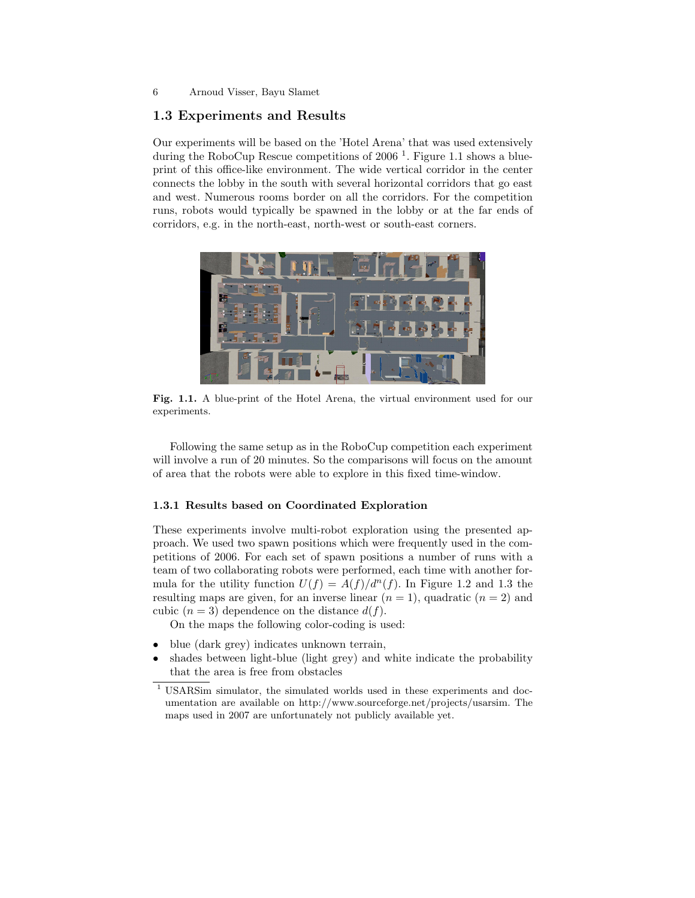6 Arnoud Visser, Bayu Slamet

#### 1.3 Experiments and Results

Our experiments will be based on the 'Hotel Arena' that was used extensively during the RoboCup Rescue competitions of 2006<sup>1</sup>. Figure 1.1 shows a blueprint of this office-like environment. The wide vertical corridor in the center connects the lobby in the south with several horizontal corridors that go east and west. Numerous rooms border on all the corridors. For the competition runs, robots would typically be spawned in the lobby or at the far ends of corridors, e.g. in the north-east, north-west or south-east corners.



Fig. 1.1. A blue-print of the Hotel Arena, the virtual environment used for our experiments.

Following the same setup as in the RoboCup competition each experiment will involve a run of 20 minutes. So the comparisons will focus on the amount of area that the robots were able to explore in this fixed time-window.

#### 1.3.1 Results based on Coordinated Exploration

These experiments involve multi-robot exploration using the presented approach. We used two spawn positions which were frequently used in the competitions of 2006. For each set of spawn positions a number of runs with a team of two collaborating robots were performed, each time with another formula for the utility function  $U(f) = A(f)/d^n(f)$ . In Figure 1.2 and 1.3 the resulting maps are given, for an inverse linear  $(n = 1)$ , quadratic  $(n = 2)$  and cubic  $(n = 3)$  dependence on the distance  $d(f)$ .

On the maps the following color-coding is used:

- blue (dark grey) indicates unknown terrain,
- shades between light-blue (light grey) and white indicate the probability that the area is free from obstacles

<sup>&</sup>lt;sup>1</sup> USARSim simulator, the simulated worlds used in these experiments and documentation are available on http://www.sourceforge.net/projects/usarsim. The maps used in 2007 are unfortunately not publicly available yet.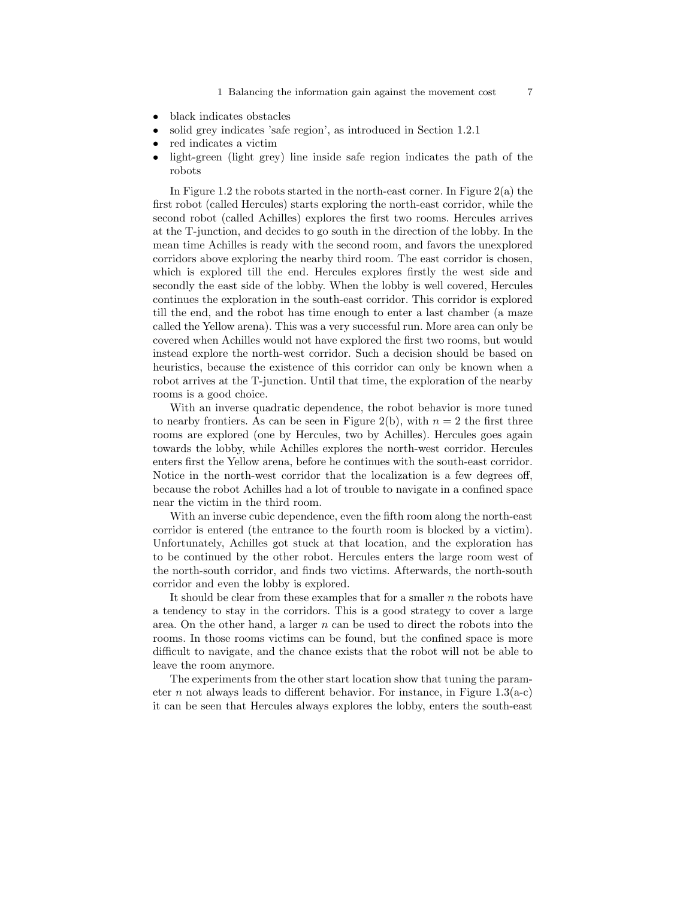- black indicates obstacles
- solid grey indicates 'safe region', as introduced in Section 1.2.1
- red indicates a victim
- light-green (light grey) line inside safe region indicates the path of the robots

In Figure 1.2 the robots started in the north-east corner. In Figure  $2(a)$  the first robot (called Hercules) starts exploring the north-east corridor, while the second robot (called Achilles) explores the first two rooms. Hercules arrives at the T-junction, and decides to go south in the direction of the lobby. In the mean time Achilles is ready with the second room, and favors the unexplored corridors above exploring the nearby third room. The east corridor is chosen, which is explored till the end. Hercules explores firstly the west side and secondly the east side of the lobby. When the lobby is well covered, Hercules continues the exploration in the south-east corridor. This corridor is explored till the end, and the robot has time enough to enter a last chamber (a maze called the Yellow arena). This was a very successful run. More area can only be covered when Achilles would not have explored the first two rooms, but would instead explore the north-west corridor. Such a decision should be based on heuristics, because the existence of this corridor can only be known when a robot arrives at the T-junction. Until that time, the exploration of the nearby rooms is a good choice.

With an inverse quadratic dependence, the robot behavior is more tuned to nearby frontiers. As can be seen in Figure 2(b), with  $n = 2$  the first three rooms are explored (one by Hercules, two by Achilles). Hercules goes again towards the lobby, while Achilles explores the north-west corridor. Hercules enters first the Yellow arena, before he continues with the south-east corridor. Notice in the north-west corridor that the localization is a few degrees off, because the robot Achilles had a lot of trouble to navigate in a confined space near the victim in the third room.

With an inverse cubic dependence, even the fifth room along the north-east corridor is entered (the entrance to the fourth room is blocked by a victim). Unfortunately, Achilles got stuck at that location, and the exploration has to be continued by the other robot. Hercules enters the large room west of the north-south corridor, and finds two victims. Afterwards, the north-south corridor and even the lobby is explored.

It should be clear from these examples that for a smaller  $n$  the robots have a tendency to stay in the corridors. This is a good strategy to cover a large area. On the other hand, a larger  $n$  can be used to direct the robots into the rooms. In those rooms victims can be found, but the confined space is more difficult to navigate, and the chance exists that the robot will not be able to leave the room anymore.

The experiments from the other start location show that tuning the parameter n not always leads to different behavior. For instance, in Figure 1.3(a-c) it can be seen that Hercules always explores the lobby, enters the south-east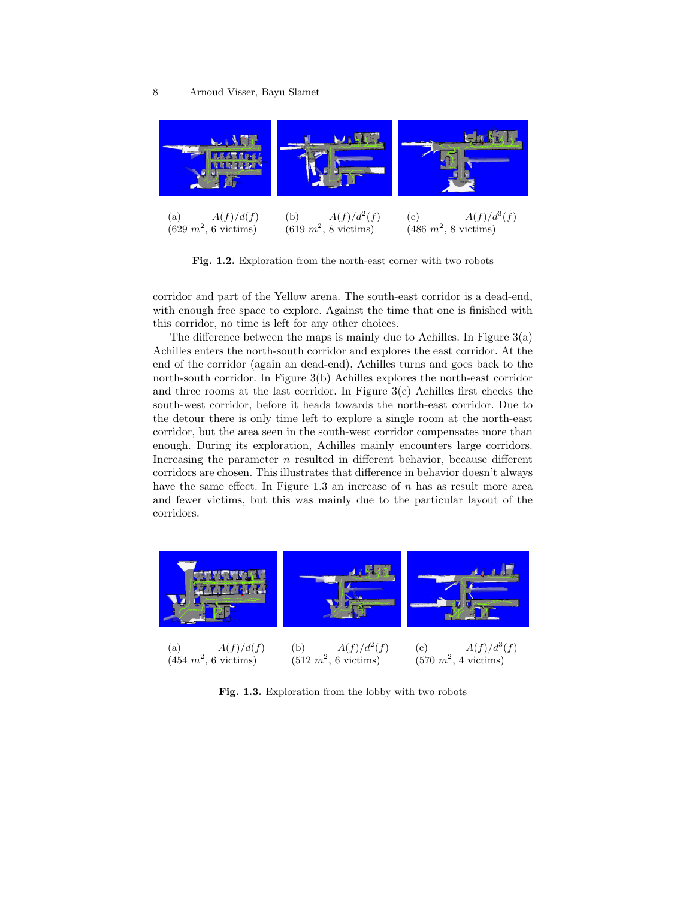

Fig. 1.2. Exploration from the north-east corner with two robots

corridor and part of the Yellow arena. The south-east corridor is a dead-end, with enough free space to explore. Against the time that one is finished with this corridor, no time is left for any other choices.

The difference between the maps is mainly due to Achilles. In Figure  $3(a)$ Achilles enters the north-south corridor and explores the east corridor. At the end of the corridor (again an dead-end), Achilles turns and goes back to the north-south corridor. In Figure 3(b) Achilles explores the north-east corridor and three rooms at the last corridor. In Figure 3(c) Achilles first checks the south-west corridor, before it heads towards the north-east corridor. Due to the detour there is only time left to explore a single room at the north-east corridor, but the area seen in the south-west corridor compensates more than enough. During its exploration, Achilles mainly encounters large corridors. Increasing the parameter  $n$  resulted in different behavior, because different corridors are chosen. This illustrates that difference in behavior doesn't always have the same effect. In Figure 1.3 an increase of  $n$  has as result more area and fewer victims, but this was mainly due to the particular layout of the corridors.



Fig. 1.3. Exploration from the lobby with two robots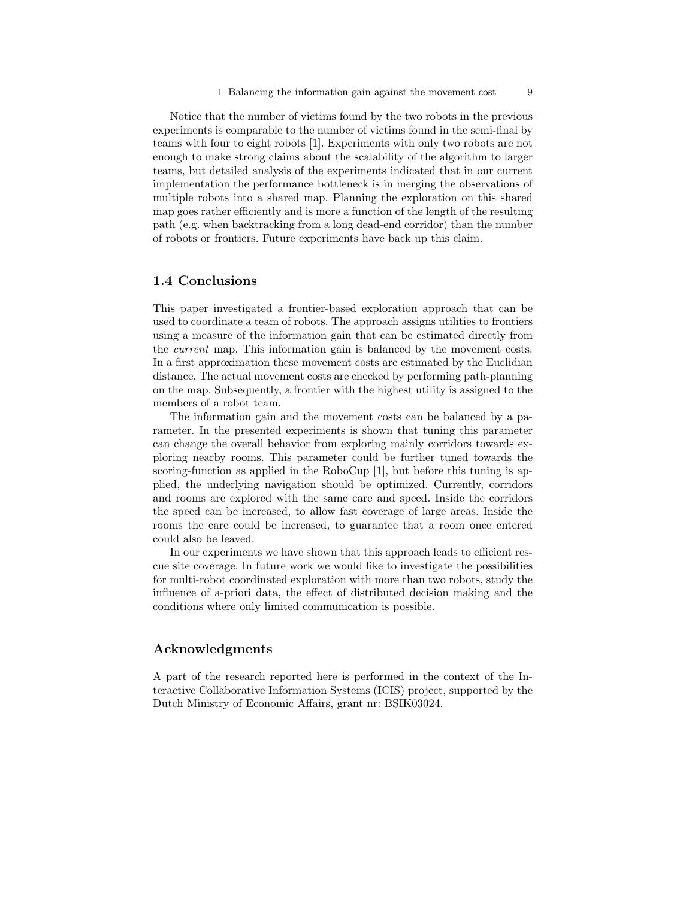Notice that the number of victims found by the two robots in the previous experiments is comparable to the number of victims found in the semi-final by teams with four to eight robots [1]. Experiments with only two robots are not enough to make strong claims about the scalability of the algorithm to larger teams, but detailed analysis of the experiments indicated that in our current implementation the performance bottleneck is in merging the observations of multiple robots into a shared map. Planning the exploration on this shared map goes rather efficiently and is more a function of the length of the resulting path (e.g. when backtracking from a long dead-end corridor) than the number of robots or frontiers. Future experiments have back up this claim.

#### 1.4 Conclusions

This paper investigated a frontier-based exploration approach that can be used to coordinate a team of robots. The approach assigns utilities to frontiers using a measure of the information gain that can be estimated directly from the current map. This information gain is balanced by the movement costs. In a first approximation these movement costs are estimated by the Euclidian distance. The actual movement costs are checked by performing path-planning on the map. Subsequently, a frontier with the highest utility is assigned to the members of a robot team.

The information gain and the movement costs can be balanced by a parameter. In the presented experiments is shown that tuning this parameter can change the overall behavior from exploring mainly corridors towards exploring nearby rooms. This parameter could be further tuned towards the scoring-function as applied in the RoboCup [1], but before this tuning is applied, the underlying navigation should be optimized. Currently, corridors and rooms are explored with the same care and speed. Inside the corridors the speed can be increased, to allow fast coverage of large areas. Inside the rooms the care could be increased, to guarantee that a room once entered could also be leaved.

In our experiments we have shown that this approach leads to efficient rescue site coverage. In future work we would like to investigate the possibilities for multi-robot coordinated exploration with more than two robots, study the influence of a-priori data, the effect of distributed decision making and the conditions where only limited communication is possible.

#### Acknowledgments

A part of the research reported here is performed in the context of the Interactive Collaborative Information Systems (ICIS) project, supported by the Dutch Ministry of Economic Affairs, grant nr: BSIK03024.